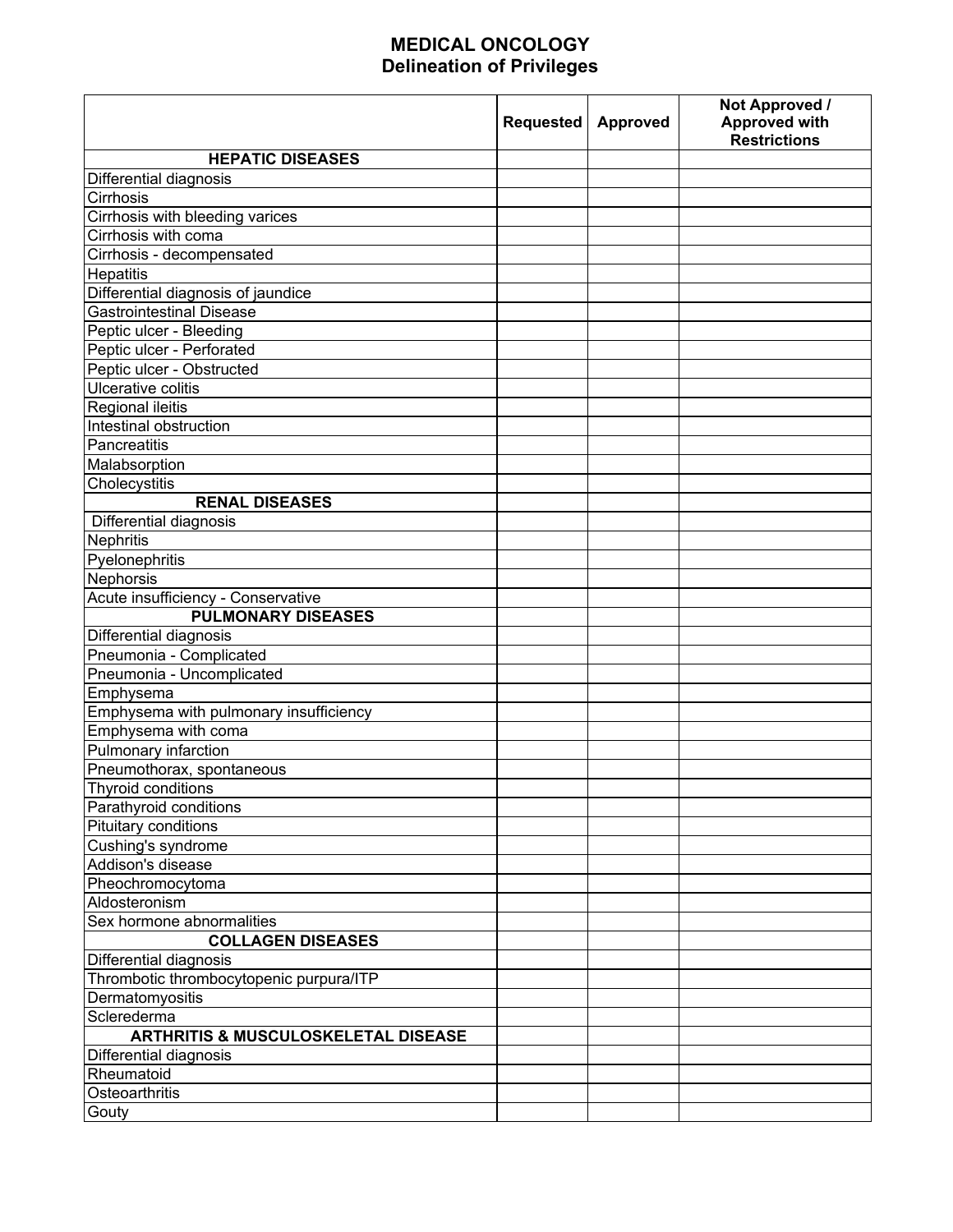## **MEDICAL ONCOLOGY Delineation of Privileges**

|                                                | Requested | <b>Approved</b> | Not Approved /<br><b>Approved with</b><br><b>Restrictions</b> |
|------------------------------------------------|-----------|-----------------|---------------------------------------------------------------|
| <b>HEPATIC DISEASES</b>                        |           |                 |                                                               |
| Differential diagnosis                         |           |                 |                                                               |
| Cirrhosis                                      |           |                 |                                                               |
| Cirrhosis with bleeding varices                |           |                 |                                                               |
| Cirrhosis with coma                            |           |                 |                                                               |
| Cirrhosis - decompensated                      |           |                 |                                                               |
| <b>Hepatitis</b>                               |           |                 |                                                               |
| Differential diagnosis of jaundice             |           |                 |                                                               |
| <b>Gastrointestinal Disease</b>                |           |                 |                                                               |
| Peptic ulcer - Bleeding                        |           |                 |                                                               |
| Peptic ulcer - Perforated                      |           |                 |                                                               |
| Peptic ulcer - Obstructed                      |           |                 |                                                               |
| Ulcerative colitis                             |           |                 |                                                               |
| Regional ileitis                               |           |                 |                                                               |
| Intestinal obstruction                         |           |                 |                                                               |
| Pancreatitis                                   |           |                 |                                                               |
| Malabsorption                                  |           |                 |                                                               |
| Cholecystitis                                  |           |                 |                                                               |
| <b>RENAL DISEASES</b>                          |           |                 |                                                               |
| Differential diagnosis                         |           |                 |                                                               |
| Nephritis                                      |           |                 |                                                               |
| Pyelonephritis                                 |           |                 |                                                               |
| Nephorsis                                      |           |                 |                                                               |
| Acute insufficiency - Conservative             |           |                 |                                                               |
| <b>PULMONARY DISEASES</b>                      |           |                 |                                                               |
| Differential diagnosis                         |           |                 |                                                               |
| Pneumonia - Complicated                        |           |                 |                                                               |
| Pneumonia - Uncomplicated                      |           |                 |                                                               |
| Emphysema                                      |           |                 |                                                               |
| Emphysema with pulmonary insufficiency         |           |                 |                                                               |
| Emphysema with coma                            |           |                 |                                                               |
| Pulmonary infarction                           |           |                 |                                                               |
| Pneumothorax, spontaneous                      |           |                 |                                                               |
| Thyroid conditions                             |           |                 |                                                               |
| Parathyroid conditions                         |           |                 |                                                               |
| Pituitary conditions                           |           |                 |                                                               |
| Cushing's syndrome                             |           |                 |                                                               |
| Addison's disease                              |           |                 |                                                               |
| Pheochromocytoma                               |           |                 |                                                               |
| Aldosteronism                                  |           |                 |                                                               |
| Sex hormone abnormalities                      |           |                 |                                                               |
| <b>COLLAGEN DISEASES</b>                       |           |                 |                                                               |
| Differential diagnosis                         |           |                 |                                                               |
| Thrombotic thrombocytopenic purpura/ITP        |           |                 |                                                               |
| Dermatomyositis                                |           |                 |                                                               |
| Sclerederma                                    |           |                 |                                                               |
| <b>ARTHRITIS &amp; MUSCULOSKELETAL DISEASE</b> |           |                 |                                                               |
| Differential diagnosis                         |           |                 |                                                               |
| Rheumatoid                                     |           |                 |                                                               |
| Osteoarthritis                                 |           |                 |                                                               |
| Gouty                                          |           |                 |                                                               |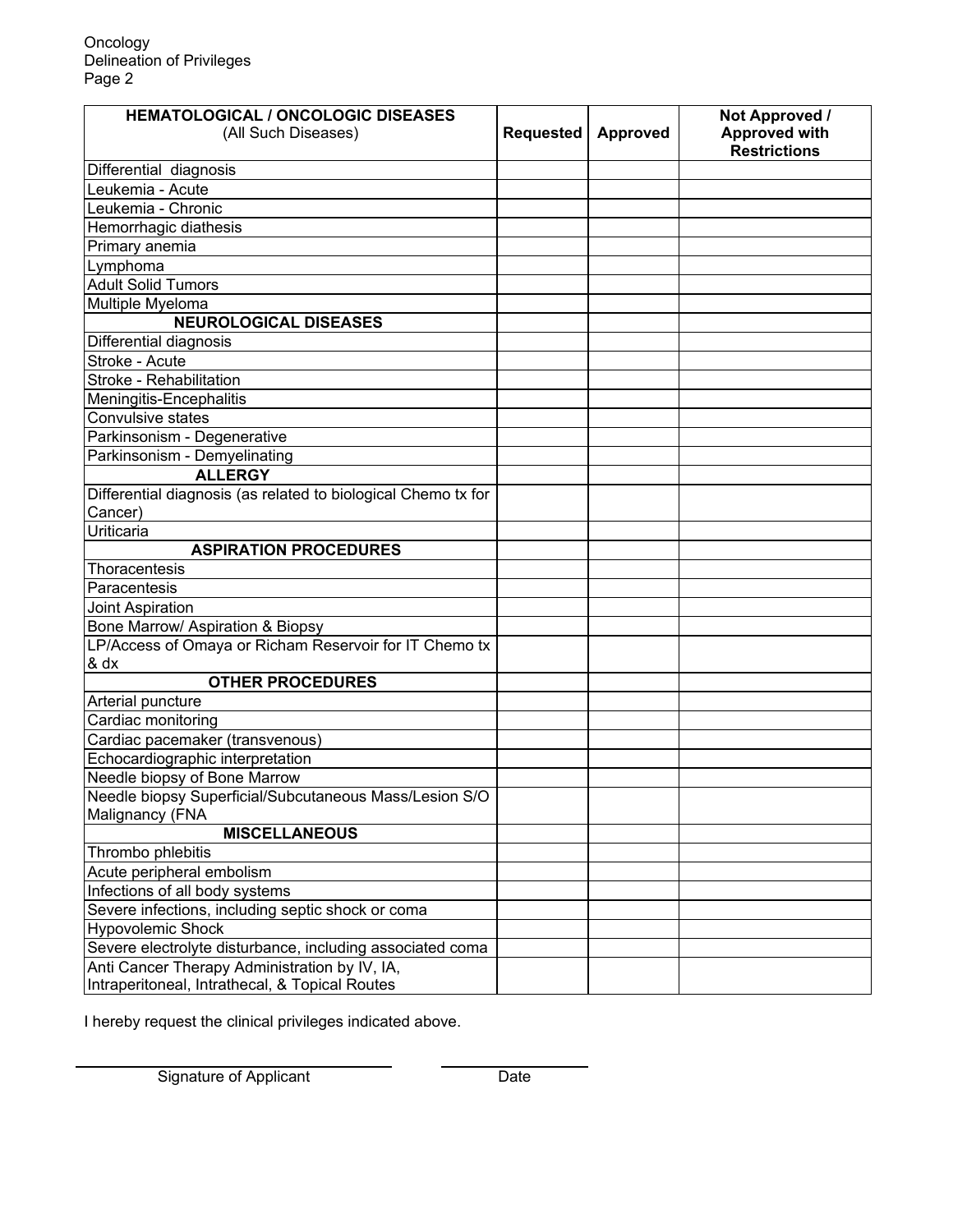| <b>HEMATOLOGICAL / ONCOLOGIC DISEASES</b>                     |                  |                 | Not Approved /                              |
|---------------------------------------------------------------|------------------|-----------------|---------------------------------------------|
| (All Such Diseases)                                           | <b>Requested</b> | <b>Approved</b> | <b>Approved with</b><br><b>Restrictions</b> |
| Differential diagnosis                                        |                  |                 |                                             |
| Leukemia - Acute                                              |                  |                 |                                             |
| Leukemia - Chronic                                            |                  |                 |                                             |
| Hemorrhagic diathesis                                         |                  |                 |                                             |
| Primary anemia                                                |                  |                 |                                             |
| Lymphoma                                                      |                  |                 |                                             |
| <b>Adult Solid Tumors</b>                                     |                  |                 |                                             |
| Multiple Myeloma                                              |                  |                 |                                             |
| <b>NEUROLOGICAL DISEASES</b>                                  |                  |                 |                                             |
| Differential diagnosis                                        |                  |                 |                                             |
| Stroke - Acute                                                |                  |                 |                                             |
| Stroke - Rehabilitation                                       |                  |                 |                                             |
| Meningitis-Encephalitis                                       |                  |                 |                                             |
| Convulsive states                                             |                  |                 |                                             |
| Parkinsonism - Degenerative                                   |                  |                 |                                             |
| Parkinsonism - Demyelinating                                  |                  |                 |                                             |
| <b>ALLERGY</b>                                                |                  |                 |                                             |
| Differential diagnosis (as related to biological Chemo tx for |                  |                 |                                             |
| Cancer)                                                       |                  |                 |                                             |
| Uriticaria                                                    |                  |                 |                                             |
| <b>ASPIRATION PROCEDURES</b>                                  |                  |                 |                                             |
| Thoracentesis                                                 |                  |                 |                                             |
| Paracentesis                                                  |                  |                 |                                             |
| Joint Aspiration                                              |                  |                 |                                             |
| Bone Marrow/ Aspiration & Biopsy                              |                  |                 |                                             |
| LP/Access of Omaya or Richam Reservoir for IT Chemo tx        |                  |                 |                                             |
| & dx                                                          |                  |                 |                                             |
| <b>OTHER PROCEDURES</b>                                       |                  |                 |                                             |
| Arterial puncture                                             |                  |                 |                                             |
| Cardiac monitoring                                            |                  |                 |                                             |
| Cardiac pacemaker (transvenous)                               |                  |                 |                                             |
| Echocardiographic interpretation                              |                  |                 |                                             |
| Needle biopsy of Bone Marrow                                  |                  |                 |                                             |
| Needle biopsy Superficial/Subcutaneous Mass/Lesion S/O        |                  |                 |                                             |
| Malignancy (FNA                                               |                  |                 |                                             |
| <b>MISCELLANEOUS</b>                                          |                  |                 |                                             |
| Thrombo phlebitis                                             |                  |                 |                                             |
| Acute peripheral embolism                                     |                  |                 |                                             |
| Infections of all body systems                                |                  |                 |                                             |
| Severe infections, including septic shock or coma             |                  |                 |                                             |
| <b>Hypovolemic Shock</b>                                      |                  |                 |                                             |
| Severe electrolyte disturbance, including associated coma     |                  |                 |                                             |
| Anti Cancer Therapy Administration by IV, IA,                 |                  |                 |                                             |
| Intraperitoneal, Intrathecal, & Topical Routes                |                  |                 |                                             |

I hereby request the clinical privileges indicated above.